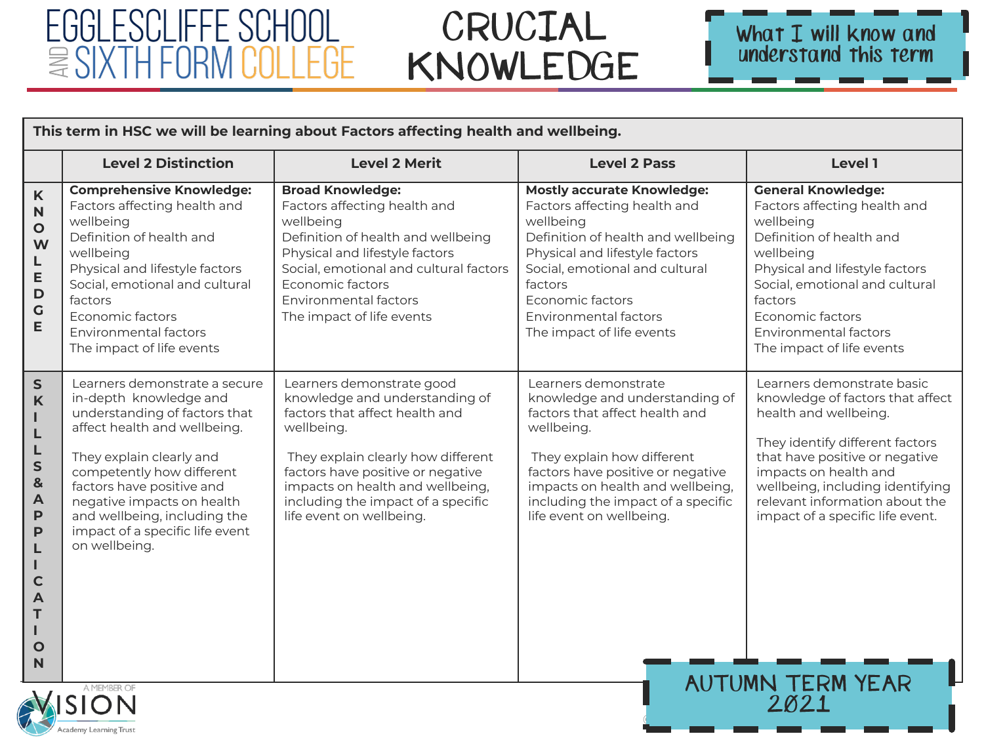# EGGLESCLIFFE SCHOOL *≣SIXTH FORM COLLEGE*

# CRUCIAL KNOWLEDGE



| This term in HSC we will be learning about Factors affecting health and wellbeing.                                                                                                        |                                                                                                                                                                                                                                                                                                                                  |                                                                                                                                                                                                                                                                                              |                                                                                                                                                                                                                                                                                 |                                                                                                                                                                                                                                                                                                 |  |  |  |
|-------------------------------------------------------------------------------------------------------------------------------------------------------------------------------------------|----------------------------------------------------------------------------------------------------------------------------------------------------------------------------------------------------------------------------------------------------------------------------------------------------------------------------------|----------------------------------------------------------------------------------------------------------------------------------------------------------------------------------------------------------------------------------------------------------------------------------------------|---------------------------------------------------------------------------------------------------------------------------------------------------------------------------------------------------------------------------------------------------------------------------------|-------------------------------------------------------------------------------------------------------------------------------------------------------------------------------------------------------------------------------------------------------------------------------------------------|--|--|--|
|                                                                                                                                                                                           | <b>Level 2 Distinction</b>                                                                                                                                                                                                                                                                                                       | <b>Level 2 Merit</b>                                                                                                                                                                                                                                                                         | <b>Level 2 Pass</b>                                                                                                                                                                                                                                                             | Level 1                                                                                                                                                                                                                                                                                         |  |  |  |
| $\boldsymbol{\mathsf{K}}$<br>$\mathbf N$<br>$\circ$<br>W<br>L<br>E<br>$\mathsf{D}$<br>$\mathsf C$<br>E                                                                                    | <b>Comprehensive Knowledge:</b><br>Factors affecting health and<br>wellbeing<br>Definition of health and<br>wellbeing<br>Physical and lifestyle factors<br>Social, emotional and cultural<br>factors<br>Economic factors<br>Environmental factors<br>The impact of life events                                                   | <b>Broad Knowledge:</b><br>Factors affecting health and<br>wellbeing<br>Definition of health and wellbeing<br>Physical and lifestyle factors<br>Social, emotional and cultural factors<br>Economic factors<br><b>Environmental factors</b><br>The impact of life events                      | <b>Mostly accurate Knowledge:</b><br>Factors affecting health and<br>wellbeing<br>Definition of health and wellbeing<br>Physical and lifestyle factors<br>Social, emotional and cultural<br>factors<br>Economic factors<br>Environmental factors<br>The impact of life events   | <b>General Knowledge:</b><br>Factors affecting health and<br>wellbeing<br>Definition of health and<br>wellbeing<br>Physical and lifestyle factors<br>Social, emotional and cultural<br>factors<br>Economic factors<br>Environmental factors<br>The impact of life events                        |  |  |  |
| $\mathsf{s}$<br>$\mathsf{K}$<br>ı<br>L<br>L<br>S<br>$\mathbf{8}$<br>$\overline{\mathsf{A}}$<br>$\mathsf{P}$<br>P<br>L<br>ı<br>$\mathbf C$<br>$\overline{A}$<br>T<br>т<br>$\mathbf O$<br>N | Learners demonstrate a secure<br>in-depth knowledge and<br>understanding of factors that<br>affect health and wellbeing.<br>They explain clearly and<br>competently how different<br>factors have positive and<br>negative impacts on health<br>and wellbeing, including the<br>impact of a specific life event<br>on wellbeing. | Learners demonstrate good<br>knowledge and understanding of<br>factors that affect health and<br>wellbeing.<br>They explain clearly how different<br>factors have positive or negative<br>impacts on health and wellbeing,<br>including the impact of a specific<br>life event on wellbeing. | Learners demonstrate<br>knowledge and understanding of<br>factors that affect health and<br>wellbeing.<br>They explain how different<br>factors have positive or negative<br>impacts on health and wellbeing,<br>including the impact of a specific<br>life event on wellbeing. | Learners demonstrate basic<br>knowledge of factors that affect<br>health and wellbeing.<br>They identify different factors<br>that have positive or negative<br>impacts on health and<br>wellbeing, including identifying<br>relevant information about the<br>impact of a specific life event. |  |  |  |
|                                                                                                                                                                                           | <b>AUTUMN TERM YEAR</b><br>A MEMBER OF<br>2021<br>Academy Learning Trust                                                                                                                                                                                                                                                         |                                                                                                                                                                                                                                                                                              |                                                                                                                                                                                                                                                                                 |                                                                                                                                                                                                                                                                                                 |  |  |  |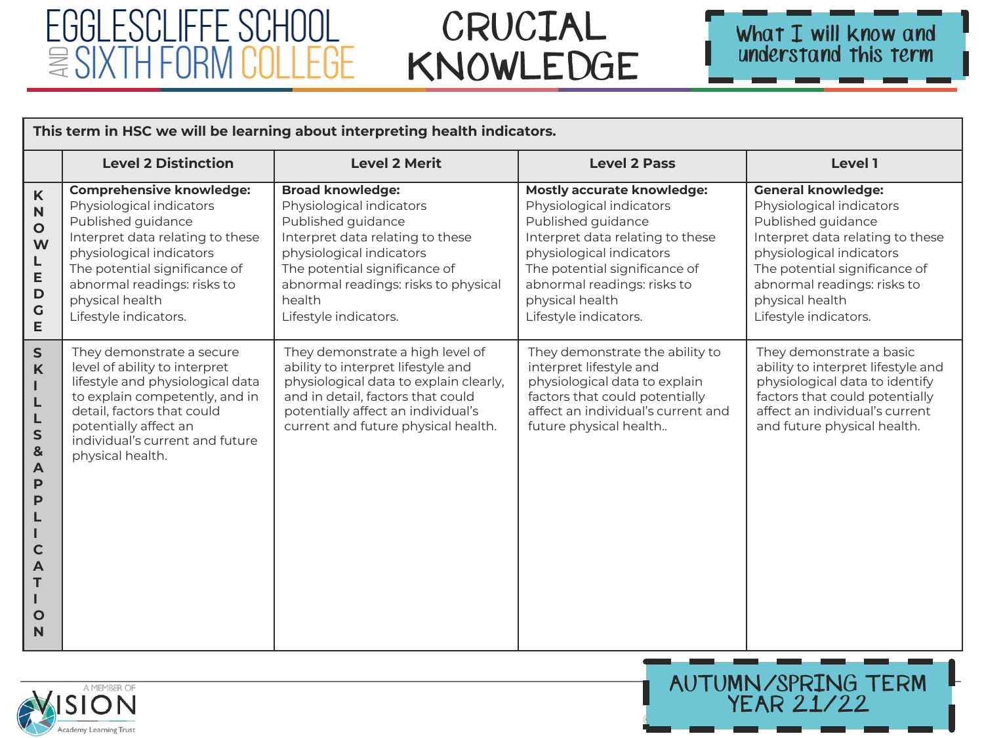# EGGLESCLIFFE SCHOOL  $\cong$  SIXTH FORM COLLEGE

# CRUCIAL KNOWLEDGE



| This term in HSC we will be learning about interpreting health indicators.                                                                                       |                                                                                                                                                                                                                                                               |                                                                                                                                                                                                                                                       |                                                                                                                                                                                                                                                                 |                                                                                                                                                                                                                                                         |  |
|------------------------------------------------------------------------------------------------------------------------------------------------------------------|---------------------------------------------------------------------------------------------------------------------------------------------------------------------------------------------------------------------------------------------------------------|-------------------------------------------------------------------------------------------------------------------------------------------------------------------------------------------------------------------------------------------------------|-----------------------------------------------------------------------------------------------------------------------------------------------------------------------------------------------------------------------------------------------------------------|---------------------------------------------------------------------------------------------------------------------------------------------------------------------------------------------------------------------------------------------------------|--|
|                                                                                                                                                                  | <b>Level 2 Distinction</b>                                                                                                                                                                                                                                    | <b>Level 2 Merit</b>                                                                                                                                                                                                                                  | <b>Level 2 Pass</b>                                                                                                                                                                                                                                             | Level 1                                                                                                                                                                                                                                                 |  |
| K<br>$\mathsf{N}$<br>$\mathbf{o}$<br>W<br>L<br>E<br>$\mathbf D$<br>$\mathbf G$<br>E                                                                              | <b>Comprehensive knowledge:</b><br>Physiological indicators<br>Published guidance<br>Interpret data relating to these<br>physiological indicators<br>The potential significance of<br>abnormal readings: risks to<br>physical health<br>Lifestyle indicators. | <b>Broad knowledge:</b><br>Physiological indicators<br>Published guidance<br>Interpret data relating to these<br>physiological indicators<br>The potential significance of<br>abnormal readings: risks to physical<br>health<br>Lifestyle indicators. | <b>Mostly accurate knowledge:</b><br>Physiological indicators<br>Published guidance<br>Interpret data relating to these<br>physiological indicators<br>The potential significance of<br>abnormal readings: risks to<br>physical health<br>Lifestyle indicators. | <b>General knowledge:</b><br>Physiological indicators<br>Published guidance<br>Interpret data relating to these<br>physiological indicators<br>The potential significance of<br>abnormal readings: risks to<br>physical health<br>Lifestyle indicators. |  |
| $\mathsf{S}$<br>$\mathsf{K}$<br>п<br>L<br>L<br>${\sf S}$<br>$\mathbf{g}$<br>$\blacktriangle$<br>P<br>P<br>$\mathbf C$<br>$\overline{A}$<br>т<br>$\mathbf O$<br>N | They demonstrate a secure<br>level of ability to interpret<br>lifestyle and physiological data<br>to explain competently, and in<br>detail, factors that could<br>potentially affect an<br>individual's current and future<br>physical health.                | They demonstrate a high level of<br>ability to interpret lifestyle and<br>physiological data to explain clearly,<br>and in detail, factors that could<br>potentially affect an individual's<br>current and future physical health.                    | They demonstrate the ability to<br>interpret lifestyle and<br>physiological data to explain<br>factors that could potentially<br>affect an individual's current and<br>future physical health                                                                   | They demonstrate a basic<br>ability to interpret lifestyle and<br>physiological data to identify<br>factors that could potentially<br>affect an individual's current<br>and future physical health.                                                     |  |



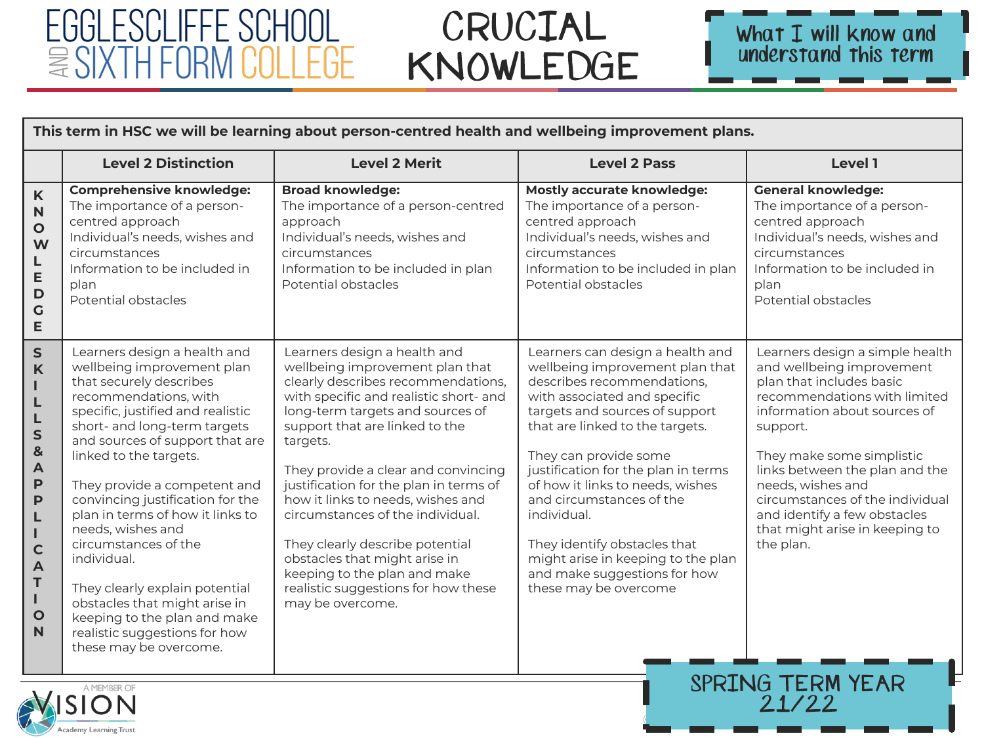## EGGLESCLIFFE SCHOOL  $\equiv$  SIXTH FORM COLLEGE

### CRUCIAL KNOWLEDGE



 $21/22$ 

|                                                                                                                                                                            | This term in HSC we will be learning about person-centred health and wellbeing improvement plans.                                                                                                                                                                                                                                                                                                                                                                                                                                                                                                 |                                                                                                                                                                                                                                                                                                                                                                                                                                                                                                                                                            |                                                                                                                                                                                                                                                                                                                                                                                                                                                                                      |                                                                                                                                                                                                                                                                                                                                                                                                |  |  |
|----------------------------------------------------------------------------------------------------------------------------------------------------------------------------|---------------------------------------------------------------------------------------------------------------------------------------------------------------------------------------------------------------------------------------------------------------------------------------------------------------------------------------------------------------------------------------------------------------------------------------------------------------------------------------------------------------------------------------------------------------------------------------------------|------------------------------------------------------------------------------------------------------------------------------------------------------------------------------------------------------------------------------------------------------------------------------------------------------------------------------------------------------------------------------------------------------------------------------------------------------------------------------------------------------------------------------------------------------------|--------------------------------------------------------------------------------------------------------------------------------------------------------------------------------------------------------------------------------------------------------------------------------------------------------------------------------------------------------------------------------------------------------------------------------------------------------------------------------------|------------------------------------------------------------------------------------------------------------------------------------------------------------------------------------------------------------------------------------------------------------------------------------------------------------------------------------------------------------------------------------------------|--|--|
|                                                                                                                                                                            | <b>Level 2 Distinction</b>                                                                                                                                                                                                                                                                                                                                                                                                                                                                                                                                                                        | <b>Level 2 Merit</b>                                                                                                                                                                                                                                                                                                                                                                                                                                                                                                                                       | <b>Level 2 Pass</b>                                                                                                                                                                                                                                                                                                                                                                                                                                                                  | Level 1                                                                                                                                                                                                                                                                                                                                                                                        |  |  |
| K<br>$\mathbf N$<br>$\mathbf{o}$<br>W<br>L<br>E<br>$\mathbf D$<br>$\mathsf C$<br>E                                                                                         | <b>Comprehensive knowledge:</b><br>The importance of a person-<br>centred approach<br>Individual's needs, wishes and<br>circumstances<br>Information to be included in<br>plan<br>Potential obstacles                                                                                                                                                                                                                                                                                                                                                                                             | <b>Broad knowledge:</b><br>The importance of a person-centred<br>approach<br>Individual's needs, wishes and<br>circumstances<br>Information to be included in plan<br>Potential obstacles                                                                                                                                                                                                                                                                                                                                                                  | <b>Mostly accurate knowledge:</b><br>The importance of a person-<br>centred approach<br>Individual's needs, wishes and<br>circumstances<br>Information to be included in plan<br>Potential obstacles                                                                                                                                                                                                                                                                                 | <b>General knowledge:</b><br>The importance of a person-<br>centred approach<br>Individual's needs, wishes and<br>circumstances<br>Information to be included in<br>plan<br>Potential obstacles                                                                                                                                                                                                |  |  |
| $\mathsf{s}$<br>K<br>L<br>L<br>L<br>$\mathsf{s}$<br>&<br>$\overline{\mathsf{A}}$<br>P<br>P<br>L<br>т<br>$\mathbf C$<br>$\overline{A}$<br>T<br>$\mathbf{I}$<br>$\circ$<br>N | Learners design a health and<br>wellbeing improvement plan<br>that securely describes<br>recommendations, with<br>specific, justified and realistic<br>short- and long-term targets<br>and sources of support that are<br>linked to the targets.<br>They provide a competent and<br>convincing justification for the<br>plan in terms of how it links to<br>needs, wishes and<br>circumstances of the<br>individual.<br>They clearly explain potential<br>obstacles that might arise in<br>keeping to the plan and make<br>realistic suggestions for how<br>these may be overcome.<br>A MEMBER OF | Learners design a health and<br>wellbeing improvement plan that<br>clearly describes recommendations,<br>with specific and realistic short- and<br>long-term targets and sources of<br>support that are linked to the<br>targets.<br>They provide a clear and convincing<br>justification for the plan in terms of<br>how it links to needs, wishes and<br>circumstances of the individual.<br>They clearly describe potential<br>obstacles that might arise in<br>keeping to the plan and make<br>realistic suggestions for how these<br>may be overcome. | Learners can design a health and<br>wellbeing improvement plan that<br>describes recommendations,<br>with associated and specific<br>targets and sources of support<br>that are linked to the targets.<br>They can provide some<br>justification for the plan in terms<br>of how it links to needs, wishes<br>and circumstances of the<br>individual.<br>They identify obstacles that<br>might arise in keeping to the plan<br>and make suggestions for how<br>these may be overcome | Learners design a simple health<br>and wellbeing improvement<br>plan that includes basic<br>recommendations with limited<br>information about sources of<br>support.<br>They make some simplistic<br>links between the plan and the<br>needs, wishes and<br>circumstances of the individual<br>and identify a few obstacles<br>that might arise in keeping to<br>the plan.<br>SPRING TERM YEAR |  |  |

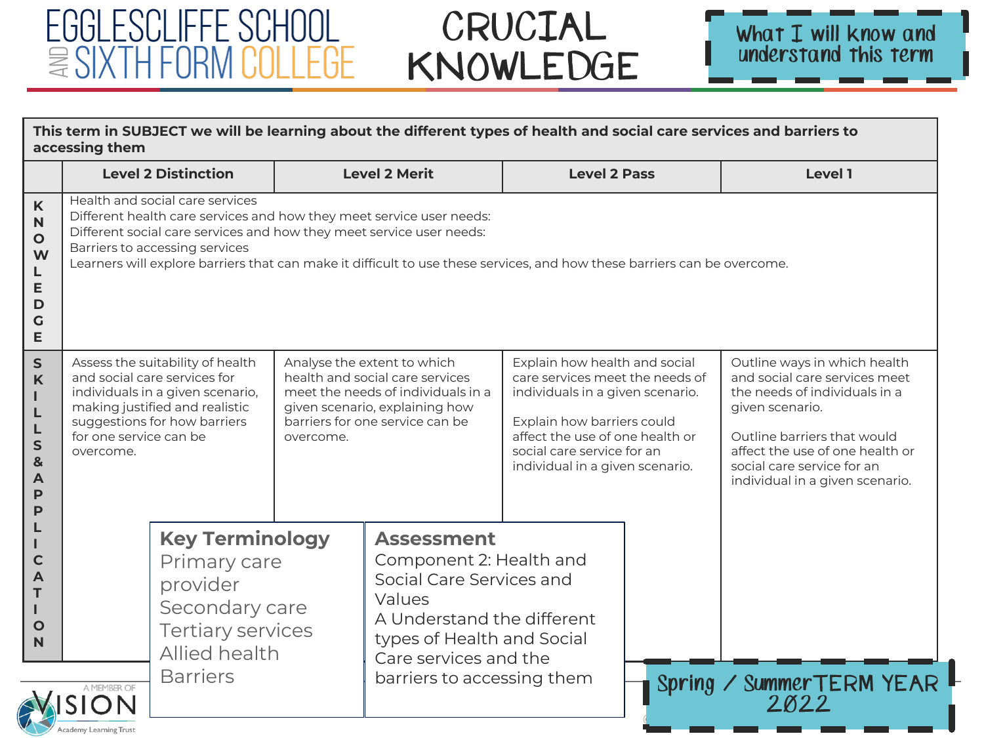#### CRUCIAL KNOWLEDGE

EGGLESCLIFFE SCHOOL

 $\equiv$  SIXTH FORM COLLEGE

| This term in SUBJECT we will be learning about the different types of health and social care services and barriers to<br>accessing them |                                                                                                                                                                                                                                                                                                                                               |  |                                                                                                                                                                                                       |                                                                                                                                                                           |                                                                                                                                                                                                                                        |                                  |                                                                                                                                                                                                                                                      |
|-----------------------------------------------------------------------------------------------------------------------------------------|-----------------------------------------------------------------------------------------------------------------------------------------------------------------------------------------------------------------------------------------------------------------------------------------------------------------------------------------------|--|-------------------------------------------------------------------------------------------------------------------------------------------------------------------------------------------------------|---------------------------------------------------------------------------------------------------------------------------------------------------------------------------|----------------------------------------------------------------------------------------------------------------------------------------------------------------------------------------------------------------------------------------|----------------------------------|------------------------------------------------------------------------------------------------------------------------------------------------------------------------------------------------------------------------------------------------------|
|                                                                                                                                         | <b>Level 2 Distinction</b>                                                                                                                                                                                                                                                                                                                    |  |                                                                                                                                                                                                       | <b>Level 2 Merit</b><br><b>Level 2 Pass</b>                                                                                                                               |                                                                                                                                                                                                                                        |                                  | <b>Level 1</b>                                                                                                                                                                                                                                       |
| $\mathsf{K}$<br>$\mathbf N$<br>$\mathbf{o}$<br>W<br>L<br>E<br>D<br>G<br>E                                                               | Health and social care services<br>Different health care services and how they meet service user needs:<br>Different social care services and how they meet service user needs:<br>Barriers to accessing services<br>Learners will explore barriers that can make it difficult to use these services, and how these barriers can be overcome. |  |                                                                                                                                                                                                       |                                                                                                                                                                           |                                                                                                                                                                                                                                        |                                  |                                                                                                                                                                                                                                                      |
| ${\sf S}$<br>K<br>Т<br>L<br>L<br>$\mathsf{s}$<br>$\mathbf{8}$<br>A<br>P<br>P                                                            | Assess the suitability of health<br>and social care services for<br>individuals in a given scenario,<br>making justified and realistic<br>suggestions for how barriers<br>for one service can be<br>overcome.<br>overcome.                                                                                                                    |  |                                                                                                                                                                                                       | Analyse the extent to which<br>health and social care services<br>meet the needs of individuals in a<br>given scenario, explaining how<br>barriers for one service can be | Explain how health and social<br>care services meet the needs of<br>individuals in a given scenario.<br>Explain how barriers could<br>affect the use of one health or<br>social care service for an<br>individual in a given scenario. |                                  | Outline ways in which health<br>and social care services meet<br>the needs of individuals in a<br>given scenario.<br>Outline barriers that would<br>affect the use of one health or<br>social care service for an<br>individual in a given scenario. |
| $\mathsf{C}$<br>A<br>т<br>$\mathbf O$<br>N                                                                                              | <b>Key Terminology</b><br>Primary care<br>provider<br>Secondary care<br><b>Tertiary services</b><br>Allied health<br><b>Barriers</b><br>A MEMBER OF                                                                                                                                                                                           |  | <b>Assessment</b><br>Component 2: Health and<br>Social Care Services and<br>Values<br>A Understand the different<br>types of Health and Social<br>Care services and the<br>barriers to accessing them |                                                                                                                                                                           |                                                                                                                                                                                                                                        | Spring / SummerTERM YEAR<br>2022 |                                                                                                                                                                                                                                                      |
|                                                                                                                                         | Academy Learning Trust                                                                                                                                                                                                                                                                                                                        |  |                                                                                                                                                                                                       |                                                                                                                                                                           |                                                                                                                                                                                                                                        |                                  |                                                                                                                                                                                                                                                      |